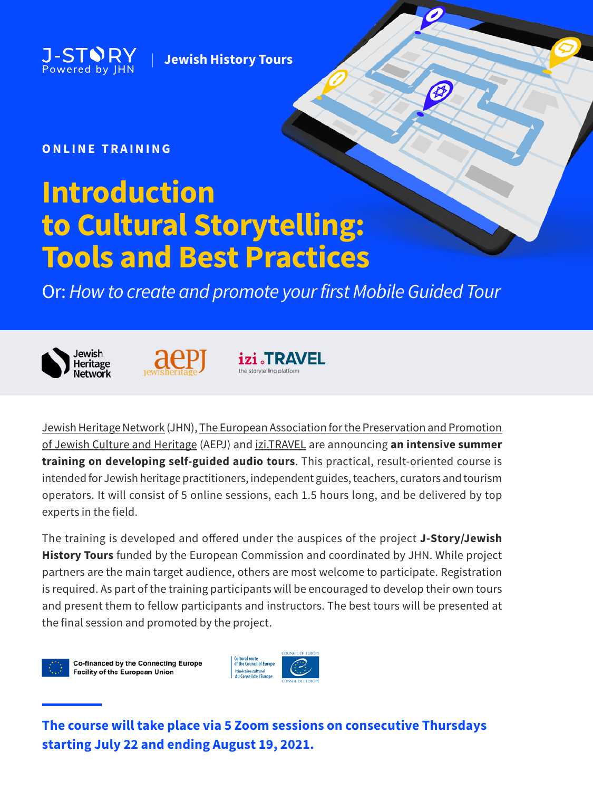J-S1 Powered by IHN

**Jewish History Tours** 

# **ONLINE TRAINING**

# **Introduction to Cultural Storytelling: Tools and Best Practices**

**Or: How to create and promote your first Mobile Guided Tour** 





izi JRAVEL the storytelling platform

JewishHeritage Network (JHN), The European Association for the Preservation and Promotion of Jewish Culture and Heritage (AEPJ) and *izi.TRAVEL* are announcing an intensive summer **training on developing self-guided audio tours**. This practical, result-oriented course is intended for Jewish heritage practitioners, independent guides, teachers, curators and tourism operators. It will consist of 5 online sessions, each 1.5 hours long, and be delivered by top experts in the field.

The training is developed and offered under the auspices of the project J-Story/Jewish History Tours funded by the European Commission and coordinated by JHN. While project partners are the main target audience, others are most welcome to participate. Registration is required. As part of the training participants will be encouraged to develop their own tours and present them to fellow participants and instructors. The best tours will be presented at the final session and promoted by the project.

Co-financed by the Connecting Europe Facility of the European Union



**The course will take place via 5 Zoom sessions on consecutive Thursdays 2021. 2021 Starting July 22 and ending August 19, 2021.**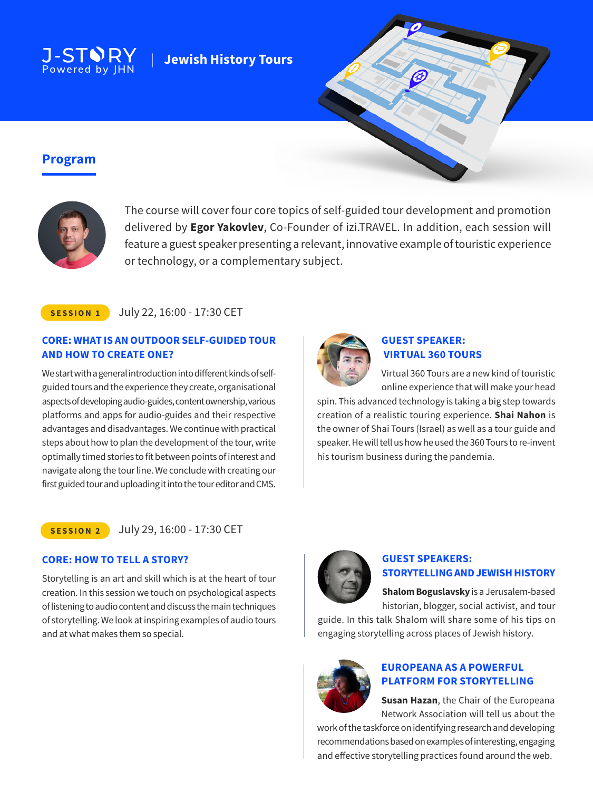

# **Jewish History Tours**



# **Program**



The course will cover four core topics of self-guided tour development and promotion delivered by **Egor Yakovlev**, Co-Founder of izi.TRAVEL. In addition, each session will feature a guest speaker presenting a relevant, innovative example of touristic experience or technology, or a complementary subject.

### **SESSION 1** July 22, 16:00 - 17:30 CET

# **CORE: WHAT IS AN OUTDOOR SELF-GUIDED TOUR AND HOW TO CREATE ONE?**

guided tours and the experience they create, organisational We start with a general introduction into different kinds of selfaspects of developing audio-guides, content ownership, various platforms and apps for audio-guides and their respective advantages and disadvantages. We continue with practical steps about how to plan the development of the tour, write optimally timed stories to fit between points of interest and navigate along the tour line. We conclude with creating our first guided tour and uploading it into the tour editor and CMS.



# **GUEST SPEAKER: VIRTUAL 360 TOURS**

Virtual 360 Tours are a new kind of touristic online experience that will make your head

spin. This advanced technology is taking a big step towards creation of a realistic touring experience. **Shai Nahon** is the owner of Shai Tours (Israel) as well as a tour guide and speaker. He will tell us how he used the 360 Tours to re-invent his tourism business during the pandemia.

#### **2 SESSION** July 29, 16:00 - 17:30 CET

# **CORE: HOW TO TELL A STORY?**

Storytelling is an art and skill which is at the heart of tour creation. In this session we touch on psychological aspects of listening to audio content and discuss the main techniques of storytelling. We look at inspiring examples of audio tours and at what makes them so special.



# **GUEST SPEAKERS: STORYTELLING AND JEWISH HISTORY**

Shalom Boguslavsky is a Jerusalem-based historian, blogger, social activist, and tour

guide. In this talk Shalom will share some of his tips on engaging story telling across places of Jewish history.



# **EUROPEANA AS A POWERFUL PLATFORM FOR STORYTELLING**

Susan Hazan, the Chair of the Europeana Network Association will tell us about the

work of the taskforce on identifying research and developing recommendations based on examples of interesting, engaging and effective storytelling practices found around the web.